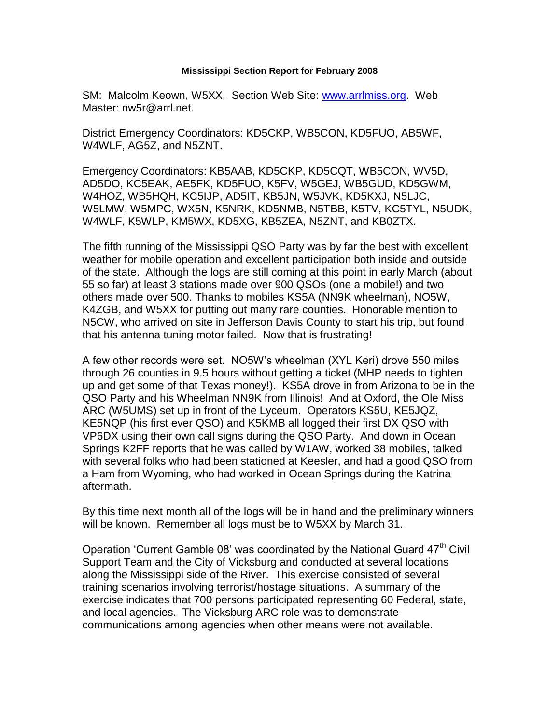## **Mississippi Section Report for February 2008**

SM: Malcolm Keown, W5XX. Section Web Site: [www.arrlmiss.org.](http://www.arrlmiss.org/) Web Master: nw5r@arrl.net.

District Emergency Coordinators: KD5CKP, WB5CON, KD5FUO, AB5WF, W4WLF, AG5Z, and N5ZNT.

Emergency Coordinators: KB5AAB, KD5CKP, KD5CQT, WB5CON, WV5D, AD5DO, KC5EAK, AE5FK, KD5FUO, K5FV, W5GEJ, WB5GUD, KD5GWM, W4HOZ, WB5HQH, KC5IJP, AD5IT, KB5JN, W5JVK, KD5KXJ, N5LJC, W5LMW, W5MPC, WX5N, K5NRK, KD5NMB, N5TBB, K5TV, KC5TYL, N5UDK, W4WLF, K5WLP, KM5WX, KD5XG, KB5ZEA, N5ZNT, and KB0ZTX.

The fifth running of the Mississippi QSO Party was by far the best with excellent weather for mobile operation and excellent participation both inside and outside of the state. Although the logs are still coming at this point in early March (about 55 so far) at least 3 stations made over 900 QSOs (one a mobile!) and two others made over 500. Thanks to mobiles KS5A (NN9K wheelman), NO5W, K4ZGB, and W5XX for putting out many rare counties. Honorable mention to N5CW, who arrived on site in Jefferson Davis County to start his trip, but found that his antenna tuning motor failed. Now that is frustrating!

A few other records were set. NO5W's wheelman (XYL Keri) drove 550 miles through 26 counties in 9.5 hours without getting a ticket (MHP needs to tighten up and get some of that Texas money!). KS5A drove in from Arizona to be in the QSO Party and his Wheelman NN9K from Illinois! And at Oxford, the Ole Miss ARC (W5UMS) set up in front of the Lyceum. Operators KS5U, KE5JQZ, KE5NQP (his first ever QSO) and K5KMB all logged their first DX QSO with VP6DX using their own call signs during the QSO Party. And down in Ocean Springs K2FF reports that he was called by W1AW, worked 38 mobiles, talked with several folks who had been stationed at Keesler, and had a good QSO from a Ham from Wyoming, who had worked in Ocean Springs during the Katrina aftermath.

By this time next month all of the logs will be in hand and the preliminary winners will be known. Remember all logs must be to W5XX by March 31.

Operation 'Current Gamble 08' was coordinated by the National Guard  $47<sup>th</sup>$  Civil Support Team and the City of Vicksburg and conducted at several locations along the Mississippi side of the River. This exercise consisted of several training scenarios involving terrorist/hostage situations. A summary of the exercise indicates that 700 persons participated representing 60 Federal, state, and local agencies. The Vicksburg ARC role was to demonstrate communications among agencies when other means were not available.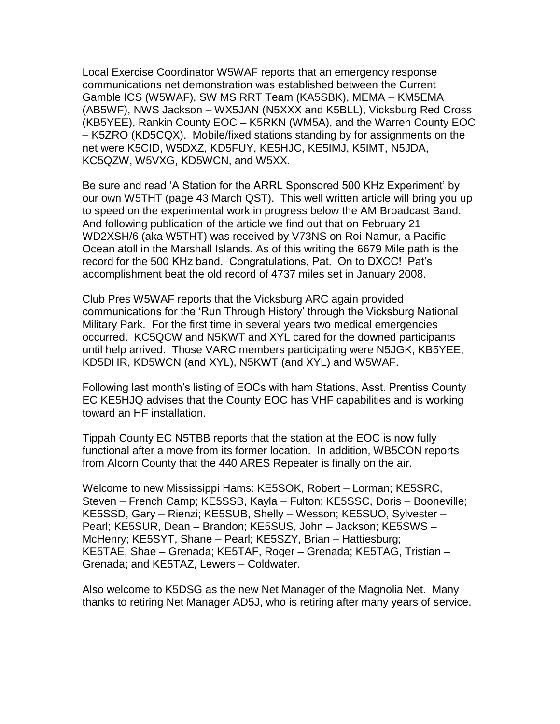Local Exercise Coordinator W5WAF reports that an emergency response communications net demonstration was established between the Current Gamble ICS (W5WAF), SW MS RRT Team (KA5SBK), MEMA – KM5EMA (AB5WF), NWS Jackson – WX5JAN (N5XXX and K5BLL), Vicksburg Red Cross (KB5YEE), Rankin County EOC – K5RKN (WM5A), and the Warren County EOC – K5ZRO (KD5CQX). Mobile/fixed stations standing by for assignments on the net were K5CID, W5DXZ, KD5FUY, KE5HJC, KE5IMJ, K5IMT, N5JDA, KC5QZW, W5VXG, KD5WCN, and W5XX.

Be sure and read 'A Station for the ARRL Sponsored 500 KHz Experiment' by our own W5THT (page 43 March QST). This well written article will bring you up to speed on the experimental work in progress below the AM Broadcast Band. And following publication of the article we find out that on February 21 WD2XSH/6 (aka W5THT) was received by V73NS on Roi-Namur, a Pacific Ocean atoll in the Marshall Islands. As of this writing the 6679 Mile path is the record for the 500 KHz band. Congratulations, Pat. On to DXCC! Pat's accomplishment beat the old record of 4737 miles set in January 2008.

Club Pres W5WAF reports that the Vicksburg ARC again provided communications for the 'Run Through History' through the Vicksburg National Military Park. For the first time in several years two medical emergencies occurred. KC5QCW and N5KWT and XYL cared for the downed participants until help arrived. Those VARC members participating were N5JGK, KB5YEE, KD5DHR, KD5WCN (and XYL), N5KWT (and XYL) and W5WAF.

Following last month's listing of EOCs with ham Stations, Asst. Prentiss County EC KE5HJQ advises that the County EOC has VHF capabilities and is working toward an HF installation.

Tippah County EC N5TBB reports that the station at the EOC is now fully functional after a move from its former location. In addition, WB5CON reports from Alcorn County that the 440 ARES Repeater is finally on the air.

Welcome to new Mississippi Hams: KE5SOK, Robert – Lorman; KE5SRC, Steven – French Camp; KE5SSB, Kayla – Fulton; KE5SSC, Doris – Booneville; KE5SSD, Gary – Rienzi; KE5SUB, Shelly – Wesson; KE5SUO, Sylvester – Pearl; KE5SUR, Dean – Brandon; KE5SUS, John – Jackson; KE5SWS – McHenry; KE5SYT, Shane – Pearl; KE5SZY, Brian – Hattiesburg; KE5TAE, Shae – Grenada; KE5TAF, Roger – Grenada; KE5TAG, Tristian – Grenada; and KE5TAZ, Lewers – Coldwater.

Also welcome to K5DSG as the new Net Manager of the Magnolia Net. Many thanks to retiring Net Manager AD5J, who is retiring after many years of service.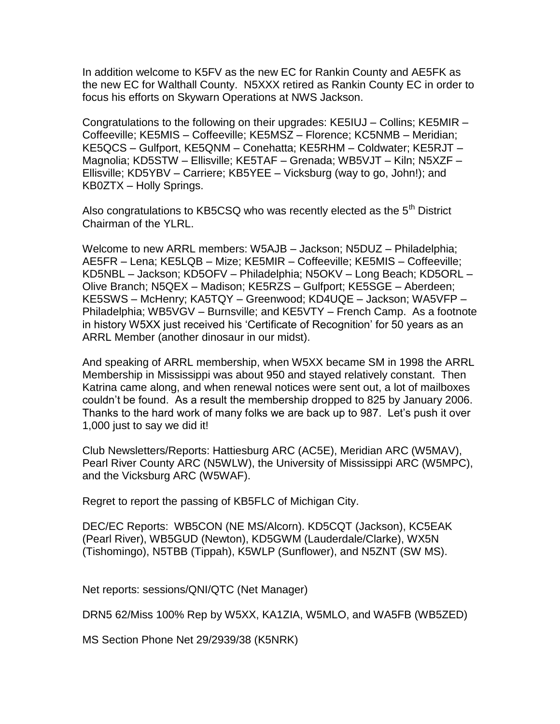In addition welcome to K5FV as the new EC for Rankin County and AE5FK as the new EC for Walthall County. N5XXX retired as Rankin County EC in order to focus his efforts on Skywarn Operations at NWS Jackson.

Congratulations to the following on their upgrades: KE5IUJ – Collins; KE5MIR – Coffeeville; KE5MIS – Coffeeville; KE5MSZ – Florence; KC5NMB – Meridian; KE5QCS – Gulfport, KE5QNM – Conehatta; KE5RHM – Coldwater; KE5RJT – Magnolia; KD5STW – Ellisville; KE5TAF – Grenada; WB5VJT – Kiln; N5XZF – Ellisville; KD5YBV – Carriere; KB5YEE – Vicksburg (way to go, John!); and KB0ZTX – Holly Springs.

Also congratulations to KB5CSQ who was recently elected as the  $5<sup>th</sup>$  District Chairman of the YLRL.

Welcome to new ARRL members: W5AJB – Jackson; N5DUZ – Philadelphia; AE5FR – Lena; KE5LQB – Mize; KE5MIR – Coffeeville; KE5MIS – Coffeeville; KD5NBL – Jackson; KD5OFV – Philadelphia; N5OKV – Long Beach; KD5ORL – Olive Branch; N5QEX – Madison; KE5RZS – Gulfport; KE5SGE – Aberdeen; KE5SWS – McHenry; KA5TQY – Greenwood; KD4UQE – Jackson; WA5VFP – Philadelphia; WB5VGV – Burnsville; and KE5VTY – French Camp. As a footnote in history W5XX just received his 'Certificate of Recognition' for 50 years as an ARRL Member (another dinosaur in our midst).

And speaking of ARRL membership, when W5XX became SM in 1998 the ARRL Membership in Mississippi was about 950 and stayed relatively constant. Then Katrina came along, and when renewal notices were sent out, a lot of mailboxes couldn't be found. As a result the membership dropped to 825 by January 2006. Thanks to the hard work of many folks we are back up to 987. Let's push it over 1,000 just to say we did it!

Club Newsletters/Reports: Hattiesburg ARC (AC5E), Meridian ARC (W5MAV), Pearl River County ARC (N5WLW), the University of Mississippi ARC (W5MPC), and the Vicksburg ARC (W5WAF).

Regret to report the passing of KB5FLC of Michigan City.

DEC/EC Reports: WB5CON (NE MS/Alcorn). KD5CQT (Jackson), KC5EAK (Pearl River), WB5GUD (Newton), KD5GWM (Lauderdale/Clarke), WX5N (Tishomingo), N5TBB (Tippah), K5WLP (Sunflower), and N5ZNT (SW MS).

Net reports: sessions/QNI/QTC (Net Manager)

DRN5 62/Miss 100% Rep by W5XX, KA1ZIA, W5MLO, and WA5FB (WB5ZED)

MS Section Phone Net 29/2939/38 (K5NRK)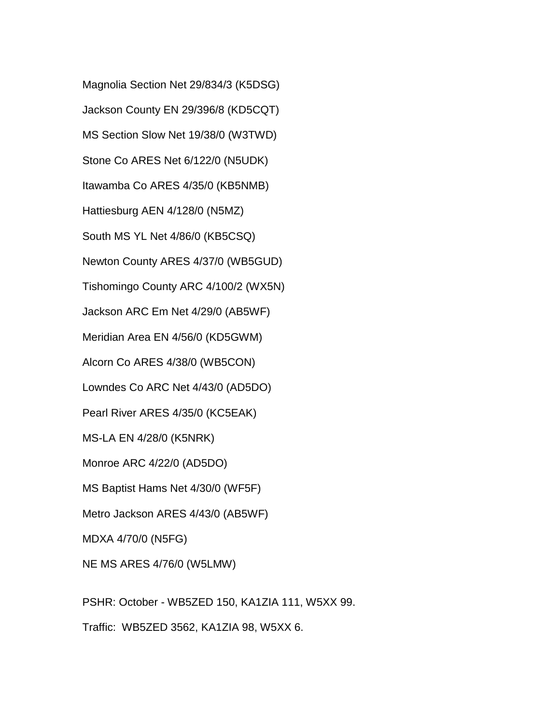Magnolia Section Net 29/834/3 (K5DSG) Jackson County EN 29/396/8 (KD5CQT) MS Section Slow Net 19/38/0 (W3TWD) Stone Co ARES Net 6/122/0 (N5UDK) Itawamba Co ARES 4/35/0 (KB5NMB) Hattiesburg AEN 4/128/0 (N5MZ) South MS YL Net 4/86/0 (KB5CSQ) Newton County ARES 4/37/0 (WB5GUD) Tishomingo County ARC 4/100/2 (WX5N) Jackson ARC Em Net 4/29/0 (AB5WF) Meridian Area EN 4/56/0 (KD5GWM) Alcorn Co ARES 4/38/0 (WB5CON) Lowndes Co ARC Net 4/43/0 (AD5DO) Pearl River ARES 4/35/0 (KC5EAK) MS-LA EN 4/28/0 (K5NRK) Monroe ARC 4/22/0 (AD5DO) MS Baptist Hams Net 4/30/0 (WF5F) Metro Jackson ARES 4/43/0 (AB5WF) MDXA 4/70/0 (N5FG) NE MS ARES 4/76/0 (W5LMW)

PSHR: October - WB5ZED 150, KA1ZIA 111, W5XX 99.

Traffic: WB5ZED 3562, KA1ZIA 98, W5XX 6.